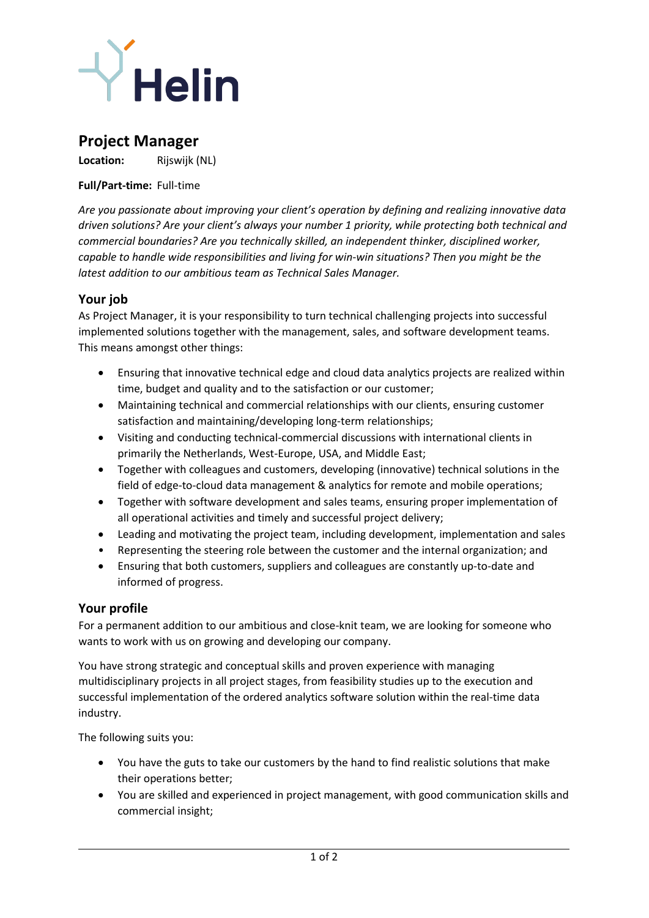

# **Project Manager**

**Location:** Rijswijk (NL)

#### **Full/Part-time:** Full-time

*Are you passionate about improving your client's operation by defining and realizing innovative data driven solutions? Are your client's always your number 1 priority, while protecting both technical and commercial boundaries? Are you technically skilled, an independent thinker, disciplined worker, capable to handle wide responsibilities and living for win-win situations? Then you might be the latest addition to our ambitious team as Technical Sales Manager.*

### **Your job**

As Project Manager, it is your responsibility to turn technical challenging projects into successful implemented solutions together with the management, sales, and software development teams. This means amongst other things:

- Ensuring that innovative technical edge and cloud data analytics projects are realized within time, budget and quality and to the satisfaction or our customer;
- Maintaining technical and commercial relationships with our clients, ensuring customer satisfaction and maintaining/developing long-term relationships;
- Visiting and conducting technical-commercial discussions with international clients in primarily the Netherlands, West-Europe, USA, and Middle East;
- Together with colleagues and customers, developing (innovative) technical solutions in the field of edge-to-cloud data management & analytics for remote and mobile operations;
- Together with software development and sales teams, ensuring proper implementation of all operational activities and timely and successful project delivery;
- Leading and motivating the project team, including development, implementation and sales
- Representing the steering role between the customer and the internal organization; and
- Ensuring that both customers, suppliers and colleagues are constantly up-to-date and informed of progress.

### **Your profile**

For a permanent addition to our ambitious and close-knit team, we are looking for someone who wants to work with us on growing and developing our company.

You have strong strategic and conceptual skills and proven experience with managing multidisciplinary projects in all project stages, from feasibility studies up to the execution and successful implementation of the ordered analytics software solution within the real-time data industry.

The following suits you:

- You have the guts to take our customers by the hand to find realistic solutions that make their operations better;
- You are skilled and experienced in project management, with good communication skills and commercial insight;